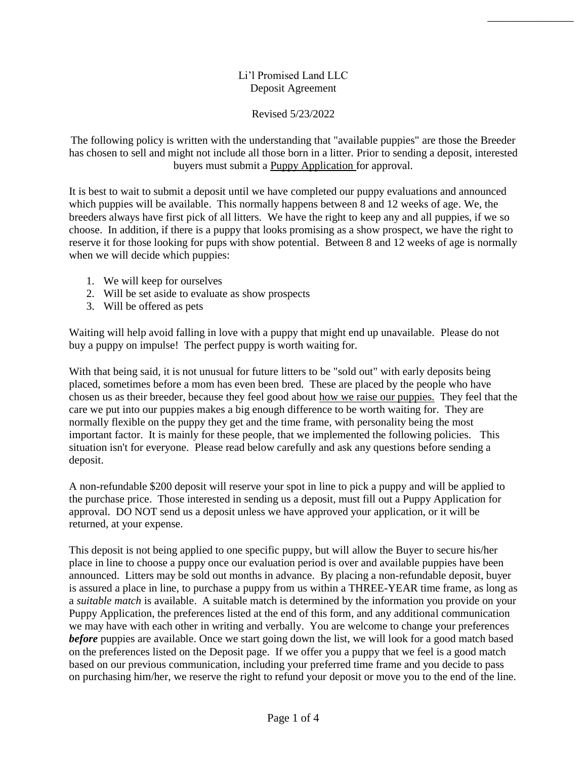## Li'l Promised Land LLC Deposit Agreement

\_\_\_\_\_\_\_\_\_\_\_\_\_\_\_

Revised 5/23/2022

The following policy is written with the understanding that "available puppies" are those the Breeder has chosen to sell and might not include all those born in a litter. Prior to sending a deposit, interested buyers must submit a [Puppy Application](http://lilpromisedland.webs.com/puppy-application) for approval.

It is best to wait to submit a deposit until we have completed our puppy evaluations and announced which puppies will be available. This normally happens between 8 and 12 weeks of age. We, the breeders always have first pick of all litters. We have the right to keep any and all puppies, if we so choose. In addition, if there is a puppy that looks promising as a show prospect, we have the right to reserve it for those looking for pups with show potential. Between 8 and 12 weeks of age is normally when we will decide which puppies:

- 1. We will keep for ourselves
- 2. Will be set aside to evaluate as show prospects
- 3. Will be offered as pets

Waiting will help avoid falling in love with a puppy that might end up unavailable. Please do not buy a puppy on impulse! The perfect puppy is worth waiting for.

With that being said, it is not unusual for future litters to be "sold out" with early deposits being placed, sometimes before a mom has even been bred. These are placed by the people who have chosen us as their breeder, because they feel good about [how we raise our puppies.](http://lilpromisedland.webs.com/whypurchasefromus.htm) They feel that the care we put into our puppies makes a big enough difference to be worth waiting for. They are normally flexible on the puppy they get and the time frame, with personality being the most important factor. It is mainly for these people, that we implemented the following policies. This situation isn't for everyone. Please read below carefully and ask any questions before sending a deposit.

A non-refundable \$200 deposit will reserve your spot in line to pick a puppy and will be applied to the purchase price. Those interested in sending us a deposit, must fill out a Puppy Application for approval. DO NOT send us a deposit unless we have approved your application, or it will be returned, at your expense.

This deposit is not being applied to one specific puppy, but will allow the Buyer to secure his/her place in line to choose a puppy once our evaluation period is over and available puppies have been announced. Litters may be sold out months in advance. By placing a non-refundable deposit, buyer is assured a place in line, to purchase a puppy from us within a THREE-YEAR time frame, as long as a *suitable match* is available. A suitable match is determined by the information you provide on your Puppy Application, the preferences listed at the end of this form, and any additional communication we may have with each other in writing and verbally. You are welcome to change your preferences *before* puppies are available. Once we start going down the list, we will look for a good match based on the preferences listed on the Deposit page. If we offer you a puppy that we feel is a good match based on our previous communication, including your preferred time frame and you decide to pass on purchasing him/her, we reserve the right to refund your deposit or move you to the end of the line.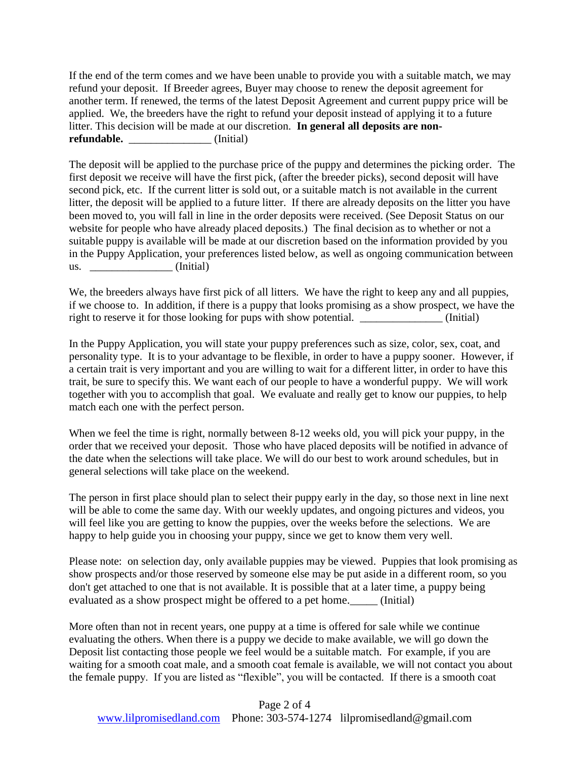If the end of the term comes and we have been unable to provide you with a suitable match, we may refund your deposit. If Breeder agrees, Buyer may choose to renew the deposit agreement for another term. If renewed, the terms of the latest Deposit Agreement and current puppy price will be applied. We, the breeders have the right to refund your deposit instead of applying it to a future litter. This decision will be made at our discretion. **In general all deposits are nonrefundable.** (Initial)

The deposit will be applied to the purchase price of the puppy and determines the picking order. The first deposit we receive will have the first pick, (after the breeder picks), second deposit will have second pick, etc. If the current litter is sold out, or a suitable match is not available in the current litter, the deposit will be applied to a future litter. If there are already deposits on the litter you have been moved to, you will fall in line in the order deposits were received. (See Deposit Status on our website for people who have already placed deposits.) The final decision as to whether or not a suitable puppy is available will be made at our discretion based on the information provided by you in the Puppy Application, your preferences listed below, as well as ongoing communication between  $\text{us.}$   $\qquad \qquad \qquad \text{(Initial)}$ 

We, the breeders always have first pick of all litters. We have the right to keep any and all puppies, if we choose to. In addition, if there is a puppy that looks promising as a show prospect, we have the right to reserve it for those looking for pups with show potential. (Initial)

In the Puppy Application, you will state your puppy preferences such as size, color, sex, coat, and personality type. It is to your advantage to be flexible, in order to have a puppy sooner. However, if a certain trait is very important and you are willing to wait for a different litter, in order to have this trait, be sure to specify this. We want each of our people to have a wonderful puppy. We will work together with you to accomplish that goal. We evaluate and really get to know our puppies, to help match each one with the perfect person.

When we feel the time is right, normally between 8-12 weeks old, you will pick your puppy, in the order that we received your deposit. Those who have placed deposits will be notified in advance of the date when the selections will take place. We will do our best to work around schedules, but in general selections will take place on the weekend.

The person in first place should plan to select their puppy early in the day, so those next in line next will be able to come the same day. With our weekly updates, and ongoing pictures and videos, you will feel like you are getting to know the puppies, over the weeks before the selections. We are happy to help guide you in choosing your puppy, since we get to know them very well.

Please note: on selection day, only available puppies may be viewed. Puppies that look promising as show prospects and/or those reserved by someone else may be put aside in a different room, so you don't get attached to one that is not available. It is possible that at a later time, a puppy being evaluated as a show prospect might be offered to a pet home.\_\_\_\_\_ (Initial)

More often than not in recent years, one puppy at a time is offered for sale while we continue evaluating the others. When there is a puppy we decide to make available, we will go down the Deposit list contacting those people we feel would be a suitable match. For example, if you are waiting for a smooth coat male, and a smooth coat female is available, we will not contact you about the female puppy. If you are listed as "flexible", you will be contacted. If there is a smooth coat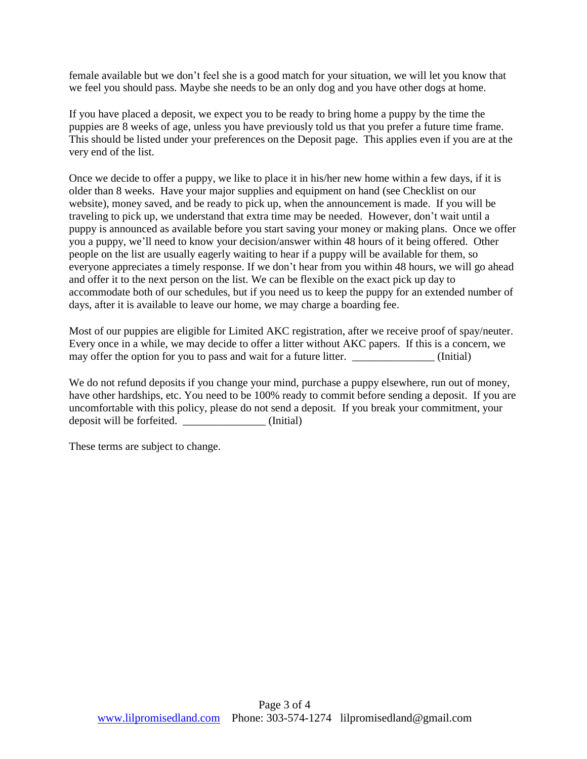female available but we don't feel she is a good match for your situation, we will let you know that we feel you should pass. Maybe she needs to be an only dog and you have other dogs at home.

If you have placed a deposit, we expect you to be ready to bring home a puppy by the time the puppies are 8 weeks of age, unless you have previously told us that you prefer a future time frame. This should be listed under your preferences on the Deposit page. This applies even if you are at the very end of the list.

Once we decide to offer a puppy, we like to place it in his/her new home within a few days, if it is older than 8 weeks. Have your major supplies and equipment on hand (see Checklist on our website), money saved, and be ready to pick up, when the announcement is made. If you will be traveling to pick up, we understand that extra time may be needed. However, don't wait until a puppy is announced as available before you start saving your money or making plans. Once we offer you a puppy, we'll need to know your decision/answer within 48 hours of it being offered. Other people on the list are usually eagerly waiting to hear if a puppy will be available for them, so everyone appreciates a timely response. If we don't hear from you within 48 hours, we will go ahead and offer it to the next person on the list. We can be flexible on the exact pick up day to accommodate both of our schedules, but if you need us to keep the puppy for an extended number of days, after it is available to leave our home, we may charge a boarding fee.

Most of our puppies are eligible for Limited AKC registration, after we receive proof of spay/neuter. Every once in a while, we may decide to offer a litter without AKC papers. If this is a concern, we may offer the option for you to pass and wait for a future litter. \_\_\_\_\_\_\_\_\_\_\_\_\_\_\_ (Initial)

We do not refund deposits if you change your mind, purchase a puppy elsewhere, run out of money, have other hardships, etc. You need to be 100% ready to commit before sending a deposit. If you are uncomfortable with this policy, please do not send a deposit. If you break your commitment, your deposit will be forfeited. \_\_\_\_\_\_\_\_\_\_\_\_\_\_\_ (Initial)

These terms are subject to change.